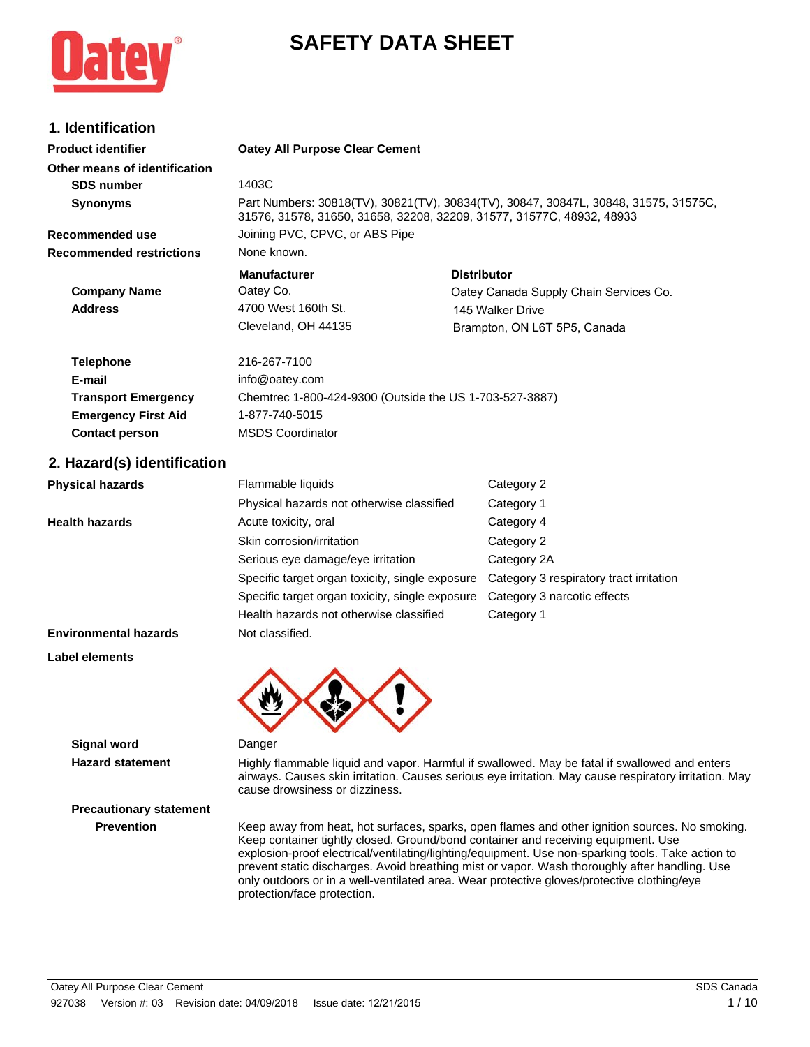

# **SAFETY DATA SHEET**

# **1. Identification**

| <b>Product identifier</b>       | <b>Oatey All Purpose Clear Cement</b>                                                                                                                        |                                        |  |  |
|---------------------------------|--------------------------------------------------------------------------------------------------------------------------------------------------------------|----------------------------------------|--|--|
| Other means of identification   |                                                                                                                                                              |                                        |  |  |
| <b>SDS number</b>               | 1403C                                                                                                                                                        |                                        |  |  |
| <b>Synonyms</b>                 | Part Numbers: 30818(TV), 30821(TV), 30834(TV), 30847, 30847L, 30848, 31575, 31575C,<br>31576, 31578, 31650, 31658, 32208, 32209, 31577, 31577C, 48932, 48933 |                                        |  |  |
| Recommended use                 | Joining PVC, CPVC, or ABS Pipe                                                                                                                               |                                        |  |  |
| <b>Recommended restrictions</b> | None known.                                                                                                                                                  |                                        |  |  |
|                                 | <b>Manufacturer</b>                                                                                                                                          | <b>Distributor</b>                     |  |  |
| <b>Company Name</b>             | Oatey Co.                                                                                                                                                    | Oatey Canada Supply Chain Services Co. |  |  |
| <b>Address</b>                  | 4700 West 160th St.                                                                                                                                          | 145 Walker Drive                       |  |  |
|                                 | Cleveland, OH 44135                                                                                                                                          | Brampton, ON L6T 5P5, Canada           |  |  |
| <b>Telephone</b>                | 216-267-7100                                                                                                                                                 |                                        |  |  |
| E-mail                          | info@oatey.com                                                                                                                                               |                                        |  |  |
| <b>Transport Emergency</b>      | Chemtrec 1-800-424-9300 (Outside the US 1-703-527-3887)                                                                                                      |                                        |  |  |

### **2. Hazard(s) identification**

**Emergency First Aid** 1-877-740-5015 **Contact person** MSDS Coordinator

| <b>Physical hazards</b>      | Flammable liquids                               | Category 2                              |
|------------------------------|-------------------------------------------------|-----------------------------------------|
|                              | Physical hazards not otherwise classified       | Category 1                              |
| <b>Health hazards</b>        | Acute toxicity, oral                            | Category 4                              |
|                              | Skin corrosion/irritation                       | Category 2                              |
|                              | Serious eye damage/eye irritation               | Category 2A                             |
|                              | Specific target organ toxicity, single exposure | Category 3 respiratory tract irritation |
|                              | Specific target organ toxicity, single exposure | Category 3 narcotic effects             |
|                              | Health hazards not otherwise classified         | Category 1                              |
| <b>Environmental hazards</b> | Not classified.                                 |                                         |

#### **Label elements**



#### **Signal word** Danger

**Precautionary statement**

Hazard statement **Highly flammable liquid and vapor. Harmful if swallowed. May be fatal if swallowed and enters** airways. Causes skin irritation. Causes serious eye irritation. May cause respiratory irritation. May cause drowsiness or dizziness.

**Prevention** Keep away from heat, hot surfaces, sparks, open flames and other ignition sources. No smoking. Keep container tightly closed. Ground/bond container and receiving equipment. Use explosion-proof electrical/ventilating/lighting/equipment. Use non-sparking tools. Take action to prevent static discharges. Avoid breathing mist or vapor. Wash thoroughly after handling. Use only outdoors or in a well-ventilated area. Wear protective gloves/protective clothing/eye protection/face protection.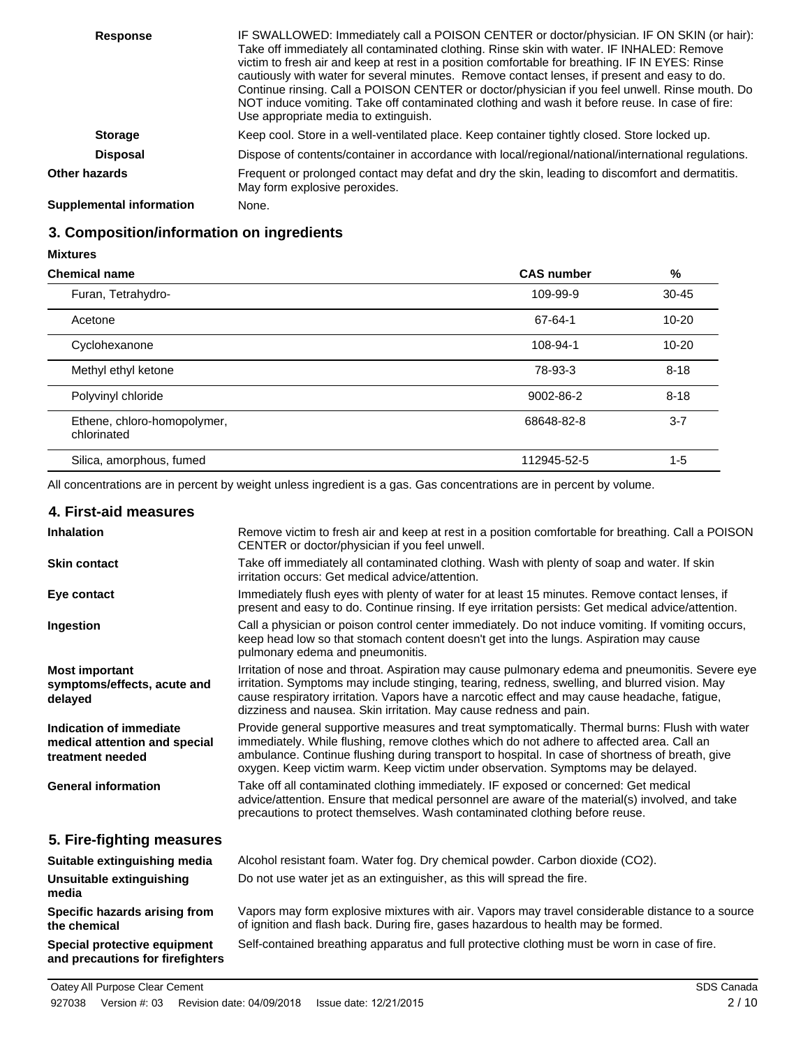| <b>Response</b>          | IF SWALLOWED: Immediately call a POISON CENTER or doctor/physician. IF ON SKIN (or hair):<br>Take off immediately all contaminated clothing. Rinse skin with water. IF INHALED: Remove<br>victim to fresh air and keep at rest in a position comfortable for breathing. IF IN EYES: Rinse<br>cautiously with water for several minutes. Remove contact lenses, if present and easy to do.<br>Continue rinsing. Call a POISON CENTER or doctor/physician if you feel unwell. Rinse mouth. Do<br>NOT induce vomiting. Take off contaminated clothing and wash it before reuse. In case of fire:<br>Use appropriate media to extinguish. |
|--------------------------|---------------------------------------------------------------------------------------------------------------------------------------------------------------------------------------------------------------------------------------------------------------------------------------------------------------------------------------------------------------------------------------------------------------------------------------------------------------------------------------------------------------------------------------------------------------------------------------------------------------------------------------|
| <b>Storage</b>           | Keep cool. Store in a well-ventilated place. Keep container tightly closed. Store locked up.                                                                                                                                                                                                                                                                                                                                                                                                                                                                                                                                          |
| <b>Disposal</b>          | Dispose of contents/container in accordance with local/regional/national/international regulations.                                                                                                                                                                                                                                                                                                                                                                                                                                                                                                                                   |
| <b>Other hazards</b>     | Frequent or prolonged contact may defat and dry the skin, leading to discomfort and dermatitis.<br>May form explosive peroxides.                                                                                                                                                                                                                                                                                                                                                                                                                                                                                                      |
| Supplemental information | None.                                                                                                                                                                                                                                                                                                                                                                                                                                                                                                                                                                                                                                 |

# **3. Composition/information on ingredients**

| <b>Chemical name</b>                       | <b>CAS number</b> | %         |
|--------------------------------------------|-------------------|-----------|
| Furan, Tetrahydro-                         | 109-99-9          | $30 - 45$ |
| Acetone                                    | 67-64-1           | $10 - 20$ |
| Cyclohexanone                              | 108-94-1          | $10 - 20$ |
| Methyl ethyl ketone                        | 78-93-3           | $8 - 18$  |
| Polyvinyl chloride                         | 9002-86-2         | $8 - 18$  |
| Ethene, chloro-homopolymer,<br>chlorinated | 68648-82-8        | $3 - 7$   |
| Silica, amorphous, fumed                   | 112945-52-5       | $1 - 5$   |

All concentrations are in percent by weight unless ingredient is a gas. Gas concentrations are in percent by volume.

| 4. First-aid measures                                                        |                                                                                                                                                                                                                                                                                                                                                                                     |
|------------------------------------------------------------------------------|-------------------------------------------------------------------------------------------------------------------------------------------------------------------------------------------------------------------------------------------------------------------------------------------------------------------------------------------------------------------------------------|
| <b>Inhalation</b>                                                            | Remove victim to fresh air and keep at rest in a position comfortable for breathing. Call a POISON<br>CENTER or doctor/physician if you feel unwell.                                                                                                                                                                                                                                |
| <b>Skin contact</b>                                                          | Take off immediately all contaminated clothing. Wash with plenty of soap and water. If skin<br>irritation occurs: Get medical advice/attention.                                                                                                                                                                                                                                     |
| Eye contact                                                                  | Immediately flush eyes with plenty of water for at least 15 minutes. Remove contact lenses, if<br>present and easy to do. Continue rinsing. If eye irritation persists: Get medical advice/attention.                                                                                                                                                                               |
| Ingestion                                                                    | Call a physician or poison control center immediately. Do not induce vomiting. If vomiting occurs,<br>keep head low so that stomach content doesn't get into the lungs. Aspiration may cause<br>pulmonary edema and pneumonitis.                                                                                                                                                    |
| <b>Most important</b><br>symptoms/effects, acute and<br>delayed              | Irritation of nose and throat. Aspiration may cause pulmonary edema and pneumonitis. Severe eye<br>irritation. Symptoms may include stinging, tearing, redness, swelling, and blurred vision. May<br>cause respiratory irritation. Vapors have a narcotic effect and may cause headache, fatigue,<br>dizziness and nausea. Skin irritation. May cause redness and pain.             |
| Indication of immediate<br>medical attention and special<br>treatment needed | Provide general supportive measures and treat symptomatically. Thermal burns: Flush with water<br>immediately. While flushing, remove clothes which do not adhere to affected area. Call an<br>ambulance. Continue flushing during transport to hospital. In case of shortness of breath, give<br>oxygen. Keep victim warm. Keep victim under observation. Symptoms may be delayed. |
| <b>General information</b>                                                   | Take off all contaminated clothing immediately. IF exposed or concerned: Get medical<br>advice/attention. Ensure that medical personnel are aware of the material(s) involved, and take<br>precautions to protect themselves. Wash contaminated clothing before reuse.                                                                                                              |
| 5. Fire-fighting measures                                                    |                                                                                                                                                                                                                                                                                                                                                                                     |
| Suitable extinguishing media                                                 | Alcohol resistant foam. Water fog. Dry chemical powder. Carbon dioxide (CO2).                                                                                                                                                                                                                                                                                                       |
| Unsuitable extinguishing<br>media                                            | Do not use water jet as an extinguisher, as this will spread the fire.                                                                                                                                                                                                                                                                                                              |
| Specific hazards arising from<br>the chemical                                | Vapors may form explosive mixtures with air. Vapors may travel considerable distance to a source<br>of ignition and flash back. During fire, gases hazardous to health may be formed.                                                                                                                                                                                               |

**Special protective equipment** Self-contained breathing apparatus and full protective clothing must be worn in case of fire. **and precautions for firefighters**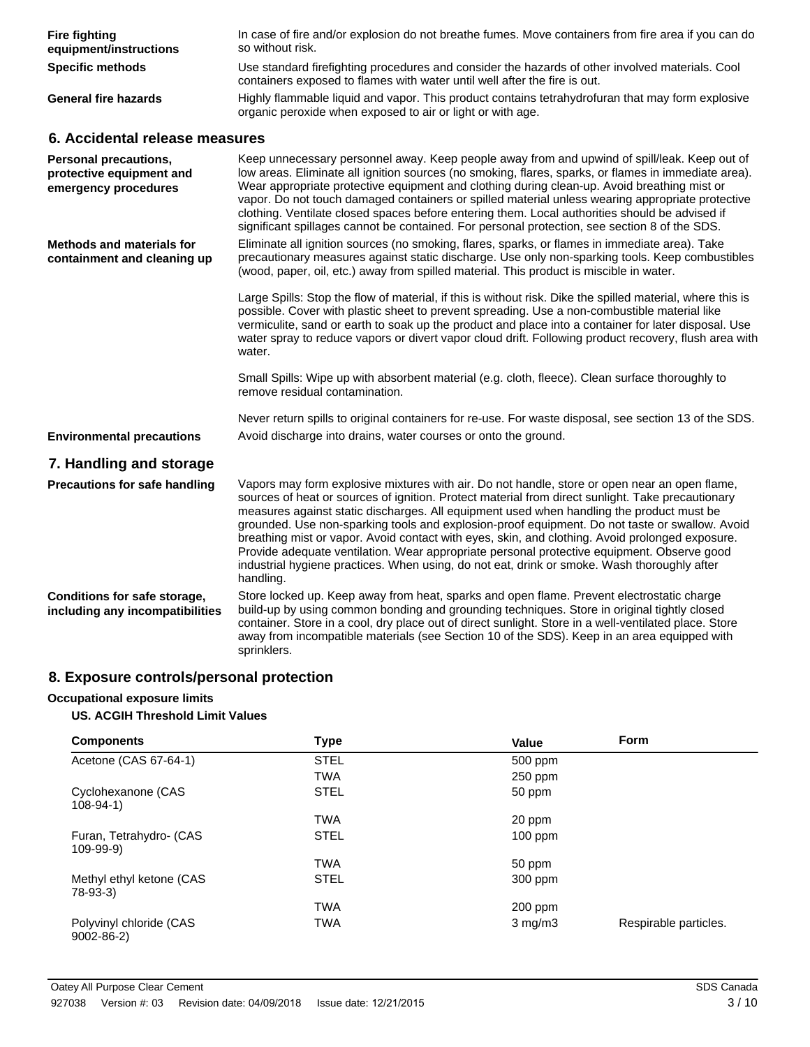| <b>Fire fighting</b><br>equipment/instructions                                   | In case of fire and/or explosion do not breathe fumes. Move containers from fire area if you can do<br>so without risk.                                                                                                                                                                                                                                                                                                                                                                                                                                                                                                                                                                                       |
|----------------------------------------------------------------------------------|---------------------------------------------------------------------------------------------------------------------------------------------------------------------------------------------------------------------------------------------------------------------------------------------------------------------------------------------------------------------------------------------------------------------------------------------------------------------------------------------------------------------------------------------------------------------------------------------------------------------------------------------------------------------------------------------------------------|
| <b>Specific methods</b>                                                          | Use standard firefighting procedures and consider the hazards of other involved materials. Cool<br>containers exposed to flames with water until well after the fire is out.                                                                                                                                                                                                                                                                                                                                                                                                                                                                                                                                  |
| <b>General fire hazards</b>                                                      | Highly flammable liquid and vapor. This product contains tetrahydrofuran that may form explosive<br>organic peroxide when exposed to air or light or with age.                                                                                                                                                                                                                                                                                                                                                                                                                                                                                                                                                |
| 6. Accidental release measures                                                   |                                                                                                                                                                                                                                                                                                                                                                                                                                                                                                                                                                                                                                                                                                               |
| <b>Personal precautions,</b><br>protective equipment and<br>emergency procedures | Keep unnecessary personnel away. Keep people away from and upwind of spill/leak. Keep out of<br>low areas. Eliminate all ignition sources (no smoking, flares, sparks, or flames in immediate area).<br>Wear appropriate protective equipment and clothing during clean-up. Avoid breathing mist or<br>vapor. Do not touch damaged containers or spilled material unless wearing appropriate protective<br>clothing. Ventilate closed spaces before entering them. Local authorities should be advised if<br>significant spillages cannot be contained. For personal protection, see section 8 of the SDS.                                                                                                    |
| <b>Methods and materials for</b><br>containment and cleaning up                  | Eliminate all ignition sources (no smoking, flares, sparks, or flames in immediate area). Take<br>precautionary measures against static discharge. Use only non-sparking tools. Keep combustibles<br>(wood, paper, oil, etc.) away from spilled material. This product is miscible in water.                                                                                                                                                                                                                                                                                                                                                                                                                  |
|                                                                                  | Large Spills: Stop the flow of material, if this is without risk. Dike the spilled material, where this is<br>possible. Cover with plastic sheet to prevent spreading. Use a non-combustible material like<br>vermiculite, sand or earth to soak up the product and place into a container for later disposal. Use<br>water spray to reduce vapors or divert vapor cloud drift. Following product recovery, flush area with<br>water.                                                                                                                                                                                                                                                                         |
|                                                                                  | Small Spills: Wipe up with absorbent material (e.g. cloth, fleece). Clean surface thoroughly to<br>remove residual contamination.                                                                                                                                                                                                                                                                                                                                                                                                                                                                                                                                                                             |
|                                                                                  | Never return spills to original containers for re-use. For waste disposal, see section 13 of the SDS.                                                                                                                                                                                                                                                                                                                                                                                                                                                                                                                                                                                                         |
| <b>Environmental precautions</b>                                                 | Avoid discharge into drains, water courses or onto the ground.                                                                                                                                                                                                                                                                                                                                                                                                                                                                                                                                                                                                                                                |
| 7. Handling and storage                                                          |                                                                                                                                                                                                                                                                                                                                                                                                                                                                                                                                                                                                                                                                                                               |
| <b>Precautions for safe handling</b>                                             | Vapors may form explosive mixtures with air. Do not handle, store or open near an open flame,<br>sources of heat or sources of ignition. Protect material from direct sunlight. Take precautionary<br>measures against static discharges. All equipment used when handling the product must be<br>grounded. Use non-sparking tools and explosion-proof equipment. Do not taste or swallow. Avoid<br>breathing mist or vapor. Avoid contact with eyes, skin, and clothing. Avoid prolonged exposure.<br>Provide adequate ventilation. Wear appropriate personal protective equipment. Observe good<br>industrial hygiene practices. When using, do not eat, drink or smoke. Wash thoroughly after<br>handling. |
| Conditions for safe storage,<br>including any incompatibilities                  | Store locked up. Keep away from heat, sparks and open flame. Prevent electrostatic charge<br>build-up by using common bonding and grounding techniques. Store in original tightly closed<br>container. Store in a cool, dry place out of direct sunlight. Store in a well-ventilated place. Store<br>away from incompatible materials (see Section 10 of the SDS). Keep in an area equipped with<br>sprinklers.                                                                                                                                                                                                                                                                                               |

# **8. Exposure controls/personal protection**

### **Occupational exposure limits**

### **US. ACGIH Threshold Limit Values**

| <b>Components</b>                          | Type        | Value        | Form                  |
|--------------------------------------------|-------------|--------------|-----------------------|
| Acetone (CAS 67-64-1)                      | <b>STEL</b> | 500 ppm      |                       |
|                                            | <b>TWA</b>  | $250$ ppm    |                       |
| Cyclohexanone (CAS<br>$108 - 94 - 1$       | <b>STEL</b> | 50 ppm       |                       |
|                                            | <b>TWA</b>  | 20 ppm       |                       |
| Furan, Tetrahydro- (CAS<br>$109 - 99 - 9)$ | <b>STEL</b> | $100$ ppm    |                       |
|                                            | <b>TWA</b>  | 50 ppm       |                       |
| Methyl ethyl ketone (CAS<br>78-93-3)       | <b>STEL</b> | 300 ppm      |                       |
|                                            | <b>TWA</b>  | $200$ ppm    |                       |
| Polyvinyl chloride (CAS<br>$9002 - 86 - 2$ | <b>TWA</b>  | $3$ mg/m $3$ | Respirable particles. |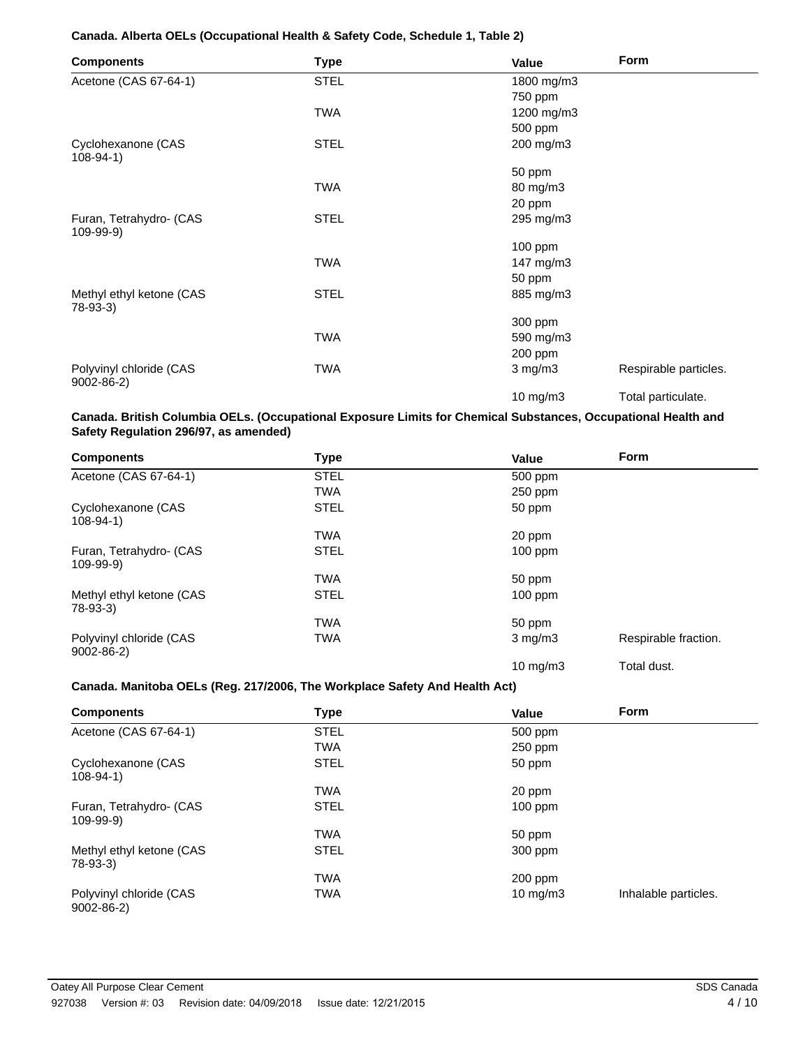#### **Canada. Alberta OELs (Occupational Health & Safety Code, Schedule 1, Table 2)**

| <b>Components</b>                          | <b>Type</b> | Value        | Form                  |
|--------------------------------------------|-------------|--------------|-----------------------|
| Acetone (CAS 67-64-1)                      | <b>STEL</b> | 1800 mg/m3   |                       |
|                                            |             | 750 ppm      |                       |
|                                            | TWA         | 1200 mg/m3   |                       |
|                                            |             | 500 ppm      |                       |
| Cyclohexanone (CAS<br>$108 - 94 - 1$       | <b>STEL</b> | 200 mg/m3    |                       |
|                                            |             | 50 ppm       |                       |
|                                            | TWA         | 80 mg/m3     |                       |
|                                            |             | 20 ppm       |                       |
| Furan, Tetrahydro- (CAS<br>$109-99-9)$     | <b>STEL</b> | 295 mg/m3    |                       |
|                                            |             | $100$ ppm    |                       |
|                                            | <b>TWA</b>  | 147 mg/m3    |                       |
|                                            |             | 50 ppm       |                       |
| Methyl ethyl ketone (CAS<br>78-93-3)       | <b>STEL</b> | 885 mg/m3    |                       |
|                                            |             | 300 ppm      |                       |
|                                            | <b>TWA</b>  | 590 mg/m3    |                       |
|                                            |             | 200 ppm      |                       |
| Polyvinyl chloride (CAS<br>$9002 - 86 - 2$ | TWA         | $3$ mg/m $3$ | Respirable particles. |
|                                            |             | 10 mg/m3     | Total particulate.    |

#### **Canada. British Columbia OELs. (Occupational Exposure Limits for Chemical Substances, Occupational Health and Safety Regulation 296/97, as amended)**

| <b>Components</b>                          | <b>Type</b> | Value             | Form                 |
|--------------------------------------------|-------------|-------------------|----------------------|
| Acetone (CAS 67-64-1)                      | <b>STEL</b> | 500 ppm           |                      |
|                                            | <b>TWA</b>  | 250 ppm           |                      |
| Cyclohexanone (CAS<br>$108-94-1)$          | <b>STEL</b> | 50 ppm            |                      |
|                                            | <b>TWA</b>  | 20 ppm            |                      |
| Furan, Tetrahydro- (CAS<br>109-99-9)       | <b>STEL</b> | $100$ ppm         |                      |
|                                            | <b>TWA</b>  | 50 ppm            |                      |
| Methyl ethyl ketone (CAS<br>78-93-3)       | <b>STEL</b> | 100 ppm           |                      |
|                                            | <b>TWA</b>  | 50 ppm            |                      |
| Polyvinyl chloride (CAS<br>$9002 - 86 - 2$ | <b>TWA</b>  | $3 \text{ mg/m}$  | Respirable fraction. |
|                                            |             | $10 \text{ mg/m}$ | Total dust.          |

#### **Canada. Manitoba OELs (Reg. 217/2006, The Workplace Safety And Health Act)**

| <b>Components</b>                          | Type        | Value       | <b>Form</b>          |
|--------------------------------------------|-------------|-------------|----------------------|
| Acetone (CAS 67-64-1)                      | <b>STEL</b> | 500 ppm     |                      |
|                                            | <b>TWA</b>  | $250$ ppm   |                      |
| Cyclohexanone (CAS<br>$108-94-1)$          | <b>STEL</b> | 50 ppm      |                      |
|                                            | <b>TWA</b>  | 20 ppm      |                      |
| Furan, Tetrahydro- (CAS<br>$109-99-9)$     | <b>STEL</b> | $100$ ppm   |                      |
|                                            | <b>TWA</b>  | 50 ppm      |                      |
| Methyl ethyl ketone (CAS<br>78-93-3)       | <b>STEL</b> | 300 ppm     |                      |
|                                            | <b>TWA</b>  | $200$ ppm   |                      |
| Polyvinyl chloride (CAS<br>$9002 - 86 - 2$ | <b>TWA</b>  | 10 mg/m $3$ | Inhalable particles. |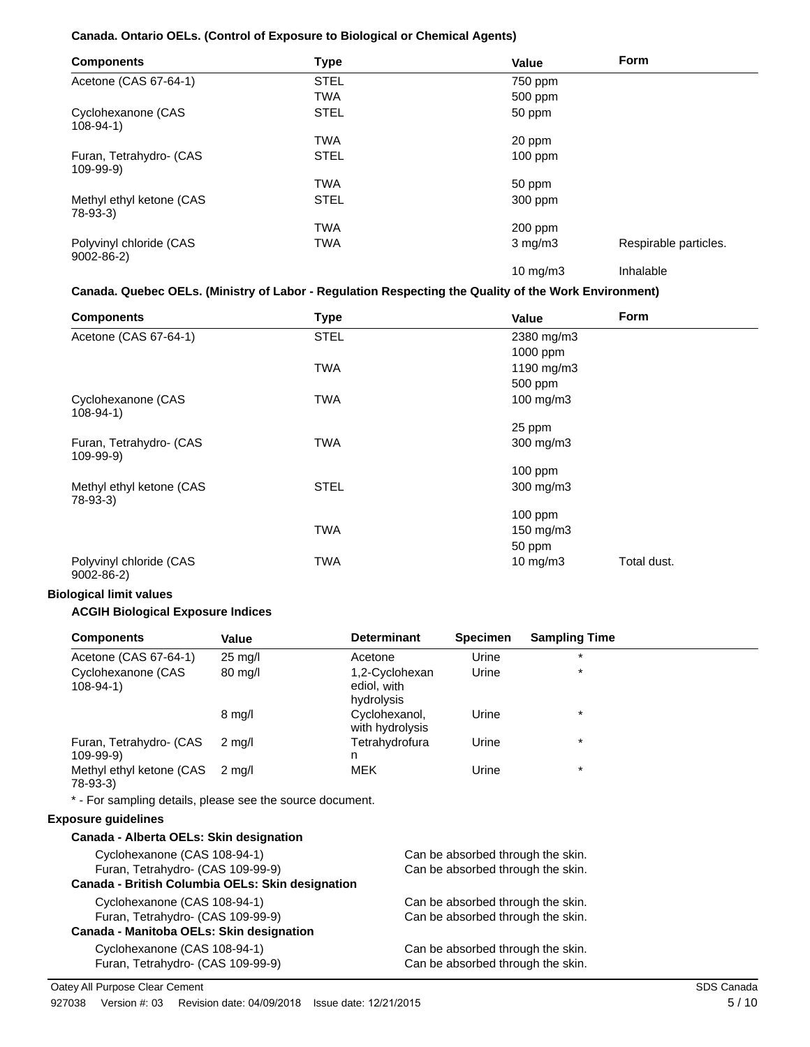### **Canada. Ontario OELs. (Control of Exposure to Biological or Chemical Agents)**

| <b>Components</b>                          | <b>Type</b> | Value             | <b>Form</b>           |
|--------------------------------------------|-------------|-------------------|-----------------------|
| Acetone (CAS 67-64-1)                      | <b>STEL</b> | 750 ppm           |                       |
|                                            | TWA         | 500 ppm           |                       |
| Cyclohexanone (CAS<br>$108 - 94 - 1$       | <b>STEL</b> | 50 ppm            |                       |
|                                            | TWA         | 20 ppm            |                       |
| Furan, Tetrahydro- (CAS<br>$109-99-9)$     | <b>STEL</b> | $100$ ppm         |                       |
|                                            | TWA         | 50 ppm            |                       |
| Methyl ethyl ketone (CAS<br>78-93-3)       | <b>STEL</b> | 300 ppm           |                       |
|                                            | <b>TWA</b>  | $200$ ppm         |                       |
| Polyvinyl chloride (CAS<br>$9002 - 86 - 2$ | TWA         | $3$ mg/m $3$      | Respirable particles. |
|                                            |             | $10 \text{ mg/m}$ | Inhalable             |

#### **Canada. Quebec OELs. (Ministry of Labor - Regulation Respecting the Quality of the Work Environment)**

| <b>Components</b>                          | <b>Type</b> | Form<br>Value              |  |
|--------------------------------------------|-------------|----------------------------|--|
| Acetone (CAS 67-64-1)                      | <b>STEL</b> | 2380 mg/m3                 |  |
|                                            |             | 1000 ppm                   |  |
|                                            | <b>TWA</b>  | 1190 mg/m3                 |  |
|                                            |             | 500 ppm                    |  |
| Cyclohexanone (CAS<br>$108 - 94 - 1$       | <b>TWA</b>  | 100 mg/m $3$               |  |
|                                            |             | 25 ppm                     |  |
| Furan, Tetrahydro- (CAS<br>109-99-9)       | <b>TWA</b>  | 300 mg/m3                  |  |
|                                            |             | $100$ ppm                  |  |
| Methyl ethyl ketone (CAS<br>78-93-3)       | <b>STEL</b> | 300 mg/m3                  |  |
|                                            |             | $100$ ppm                  |  |
|                                            | <b>TWA</b>  | 150 mg/m3                  |  |
|                                            |             | 50 ppm                     |  |
| Polyvinyl chloride (CAS<br>$9002 - 86 - 2$ | <b>TWA</b>  | 10 mg/m $3$<br>Total dust. |  |

#### **Biological limit values**

#### **ACGIH Biological Exposure Indices**

| <b>Components</b>                      | Value             | <b>Determinant</b>                          | <b>Specimen</b> | <b>Sampling Time</b> |  |
|----------------------------------------|-------------------|---------------------------------------------|-----------------|----------------------|--|
| Acetone (CAS 67-64-1)                  | $25 \text{ mg/l}$ | Acetone                                     | Urine           | $\star$              |  |
| Cyclohexanone (CAS<br>$108-94-1)$      | 80 mg/l           | 1,2-Cyclohexan<br>ediol, with<br>hydrolysis | Urine           | $\star$              |  |
|                                        | $8 \text{ mg/l}$  | Cyclohexanol,<br>with hydrolysis            | Urine           | $\star$              |  |
| Furan, Tetrahydro- (CAS<br>$109-99-9)$ | 2 ma/l            | Tetrahydrofura<br>n                         | Urine           | $\star$              |  |
| Methyl ethyl ketone (CAS<br>78-93-3)   | 2 ma/l            | <b>MEK</b>                                  | Urine           | $\star$              |  |

\* - For sampling details, please see the source document.

#### **Exposure guidelines**

| Canada - Alberta OELs: Skin designation          |                                   |
|--------------------------------------------------|-----------------------------------|
| Cyclohexanone (CAS 108-94-1)                     | Can be absorbed through the skin. |
| Furan, Tetrahydro- (CAS 109-99-9)                | Can be absorbed through the skin. |
| Canada - British Columbia OELs: Skin designation |                                   |
| Cyclohexanone (CAS 108-94-1)                     | Can be absorbed through the skin. |
| Furan, Tetrahydro- (CAS 109-99-9)                | Can be absorbed through the skin. |
| Canada - Manitoba OELs: Skin designation         |                                   |
| Cyclohexanone (CAS 108-94-1)                     | Can be absorbed through the skin. |
| Furan, Tetrahydro- (CAS 109-99-9)                | Can be absorbed through the skin. |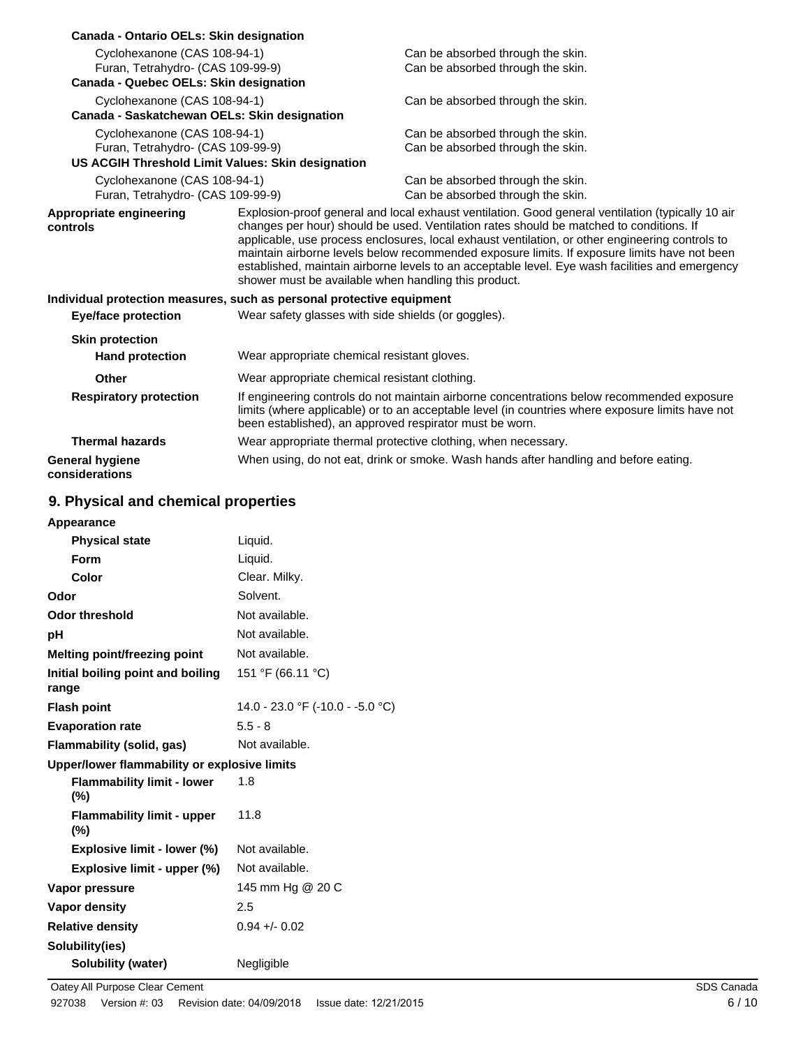| Canada - Ontario OELs: Skin designation                               |                                                                                                                                                                                                                                                                                                                                                                                                                                                                                                                                                            |                                                                                                                                                                                                |
|-----------------------------------------------------------------------|------------------------------------------------------------------------------------------------------------------------------------------------------------------------------------------------------------------------------------------------------------------------------------------------------------------------------------------------------------------------------------------------------------------------------------------------------------------------------------------------------------------------------------------------------------|------------------------------------------------------------------------------------------------------------------------------------------------------------------------------------------------|
| Cyclohexanone (CAS 108-94-1)                                          |                                                                                                                                                                                                                                                                                                                                                                                                                                                                                                                                                            | Can be absorbed through the skin.                                                                                                                                                              |
| Furan, Tetrahydro- (CAS 109-99-9)                                     |                                                                                                                                                                                                                                                                                                                                                                                                                                                                                                                                                            | Can be absorbed through the skin.                                                                                                                                                              |
| Canada - Quebec OELs: Skin designation                                |                                                                                                                                                                                                                                                                                                                                                                                                                                                                                                                                                            |                                                                                                                                                                                                |
| Cyclohexanone (CAS 108-94-1)                                          |                                                                                                                                                                                                                                                                                                                                                                                                                                                                                                                                                            | Can be absorbed through the skin.                                                                                                                                                              |
| Canada - Saskatchewan OELs: Skin designation                          |                                                                                                                                                                                                                                                                                                                                                                                                                                                                                                                                                            |                                                                                                                                                                                                |
| Cyclohexanone (CAS 108-94-1)                                          |                                                                                                                                                                                                                                                                                                                                                                                                                                                                                                                                                            | Can be absorbed through the skin.                                                                                                                                                              |
| Furan, Tetrahydro- (CAS 109-99-9)                                     |                                                                                                                                                                                                                                                                                                                                                                                                                                                                                                                                                            | Can be absorbed through the skin.                                                                                                                                                              |
| US ACGIH Threshold Limit Values: Skin designation                     |                                                                                                                                                                                                                                                                                                                                                                                                                                                                                                                                                            |                                                                                                                                                                                                |
| Cyclohexanone (CAS 108-94-1)                                          |                                                                                                                                                                                                                                                                                                                                                                                                                                                                                                                                                            | Can be absorbed through the skin.                                                                                                                                                              |
| Furan, Tetrahydro- (CAS 109-99-9)                                     |                                                                                                                                                                                                                                                                                                                                                                                                                                                                                                                                                            | Can be absorbed through the skin.                                                                                                                                                              |
| Appropriate engineering<br>controls                                   | Explosion-proof general and local exhaust ventilation. Good general ventilation (typically 10 air<br>changes per hour) should be used. Ventilation rates should be matched to conditions. If<br>applicable, use process enclosures, local exhaust ventilation, or other engineering controls to<br>maintain airborne levels below recommended exposure limits. If exposure limits have not been<br>established, maintain airborne levels to an acceptable level. Eye wash facilities and emergency<br>shower must be available when handling this product. |                                                                                                                                                                                                |
| Individual protection measures, such as personal protective equipment |                                                                                                                                                                                                                                                                                                                                                                                                                                                                                                                                                            |                                                                                                                                                                                                |
| Eye/face protection                                                   | Wear safety glasses with side shields (or goggles).                                                                                                                                                                                                                                                                                                                                                                                                                                                                                                        |                                                                                                                                                                                                |
| <b>Skin protection</b>                                                |                                                                                                                                                                                                                                                                                                                                                                                                                                                                                                                                                            |                                                                                                                                                                                                |
| <b>Hand protection</b>                                                | Wear appropriate chemical resistant gloves.                                                                                                                                                                                                                                                                                                                                                                                                                                                                                                                |                                                                                                                                                                                                |
| Other                                                                 | Wear appropriate chemical resistant clothing.                                                                                                                                                                                                                                                                                                                                                                                                                                                                                                              |                                                                                                                                                                                                |
| <b>Respiratory protection</b>                                         | been established), an approved respirator must be worn.                                                                                                                                                                                                                                                                                                                                                                                                                                                                                                    | If engineering controls do not maintain airborne concentrations below recommended exposure<br>limits (where applicable) or to an acceptable level (in countries where exposure limits have not |
| <b>Thermal hazards</b>                                                |                                                                                                                                                                                                                                                                                                                                                                                                                                                                                                                                                            | Wear appropriate thermal protective clothing, when necessary.                                                                                                                                  |
| <b>General hygiene</b><br>considerations                              |                                                                                                                                                                                                                                                                                                                                                                                                                                                                                                                                                            | When using, do not eat, drink or smoke. Wash hands after handling and before eating.                                                                                                           |

# **9. Physical and chemical properties**

| Appearance                                   |                                  |
|----------------------------------------------|----------------------------------|
| <b>Physical state</b>                        | Liquid.                          |
| <b>Form</b>                                  | Liquid.                          |
| Color                                        | Clear. Milky.                    |
| Odor                                         | Solvent.                         |
| <b>Odor threshold</b>                        | Not available.                   |
| рH                                           | Not available.                   |
| Melting point/freezing point                 | Not available.                   |
| Initial boiling point and boiling            | 151 °F (66.11 °C)                |
| range                                        |                                  |
| <b>Flash point</b>                           | 14.0 - 23.0 °F (-10.0 - -5.0 °C) |
| <b>Evaporation rate</b>                      | $5.5 - 8$                        |
| Flammability (solid, gas)                    | Not available.                   |
| Upper/lower flammability or explosive limits |                                  |
| <b>Flammability limit - lower</b><br>$(\%)$  | 1.8                              |
| <b>Flammability limit - upper</b><br>$(\%)$  | 11.8                             |
| Explosive limit - lower (%)                  | Not available.                   |
| Explosive limit - upper (%)                  | Not available.                   |
| Vapor pressure                               | 145 mm Hg @ 20 C                 |
| <b>Vapor density</b>                         | 2.5                              |
| <b>Relative density</b>                      | $0.94 + 0.02$                    |
| Solubility(ies)                              |                                  |
| <b>Solubility (water)</b>                    | Negligible                       |
|                                              |                                  |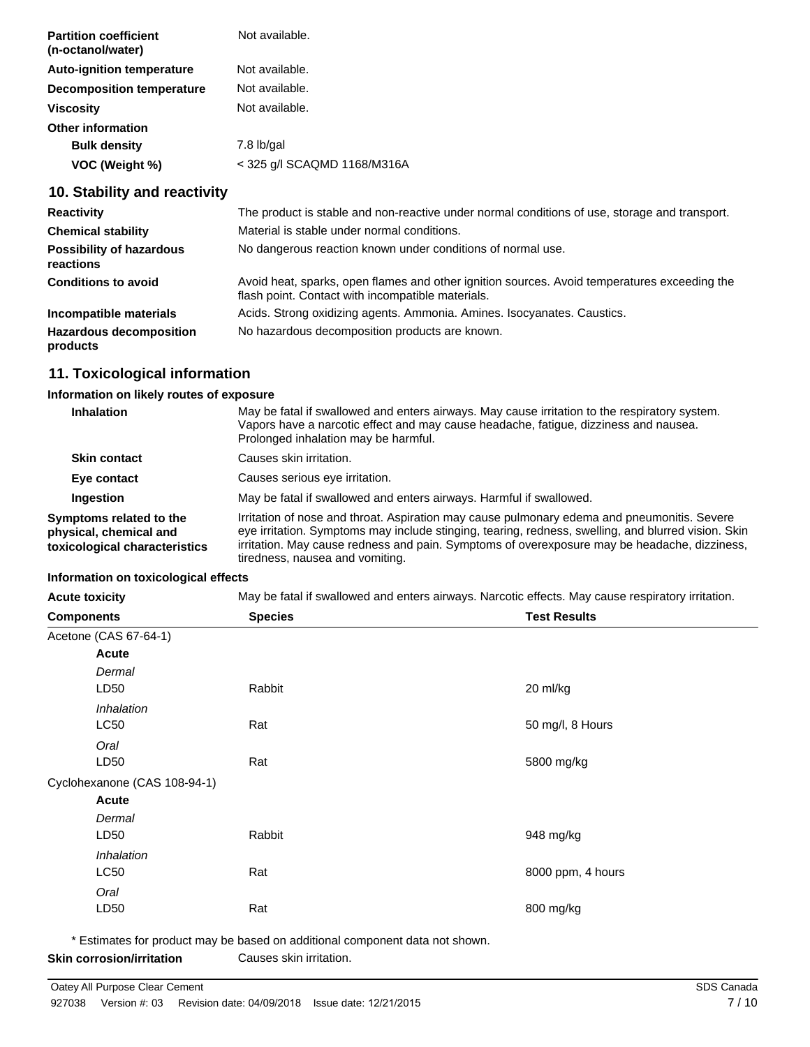| <b>Partition coefficient</b><br>(n-octanol/water) | Not available.              |
|---------------------------------------------------|-----------------------------|
| <b>Auto-ignition temperature</b>                  | Not available.              |
| <b>Decomposition temperature</b>                  | Not available.              |
| <b>Viscosity</b>                                  | Not available.              |
| <b>Other information</b>                          |                             |
| <b>Bulk density</b>                               | $7.8$ lb/gal                |
| VOC (Weight %)                                    | < 325 g/l SCAQMD 1168/M316A |
|                                                   |                             |

# **10. Stability and reactivity**

| <b>Reactivity</b>                            | The product is stable and non-reactive under normal conditions of use, storage and transport.                                                     |
|----------------------------------------------|---------------------------------------------------------------------------------------------------------------------------------------------------|
| <b>Chemical stability</b>                    | Material is stable under normal conditions.                                                                                                       |
| <b>Possibility of hazardous</b><br>reactions | No dangerous reaction known under conditions of normal use.                                                                                       |
| <b>Conditions to avoid</b>                   | Avoid heat, sparks, open flames and other ignition sources. Avoid temperatures exceeding the<br>flash point. Contact with incompatible materials. |
| Incompatible materials                       | Acids. Strong oxidizing agents. Ammonia. Amines. Isocyanates. Caustics.                                                                           |
| <b>Hazardous decomposition</b><br>products   | No hazardous decomposition products are known.                                                                                                    |

# **11. Toxicological information**

#### **Information on likely routes of exposure**

| Inhalation                                                                         | May be fatal if swallowed and enters airways. May cause irritation to the respiratory system.<br>Vapors have a narcotic effect and may cause headache, fatigue, dizziness and nausea.<br>Prolonged inhalation may be harmful.                                                                                                         |
|------------------------------------------------------------------------------------|---------------------------------------------------------------------------------------------------------------------------------------------------------------------------------------------------------------------------------------------------------------------------------------------------------------------------------------|
| <b>Skin contact</b>                                                                | Causes skin irritation.                                                                                                                                                                                                                                                                                                               |
| Eye contact                                                                        | Causes serious eye irritation.                                                                                                                                                                                                                                                                                                        |
| Ingestion                                                                          | May be fatal if swallowed and enters airways. Harmful if swallowed.                                                                                                                                                                                                                                                                   |
| Symptoms related to the<br>physical, chemical and<br>toxicological characteristics | Irritation of nose and throat. Aspiration may cause pulmonary edema and pneumonitis. Severe<br>eye irritation. Symptoms may include stinging, tearing, redness, swelling, and blurred vision. Skin<br>irritation. May cause redness and pain. Symptoms of overexposure may be headache, dizziness,<br>tiredness, nausea and vomiting. |

### **Information on toxicological effects**

| <b>Acute toxicity</b>        | May be fatal if swallowed and enters airways. Narcotic effects. May cause respiratory irritation. |                     |
|------------------------------|---------------------------------------------------------------------------------------------------|---------------------|
| <b>Components</b>            | <b>Species</b>                                                                                    | <b>Test Results</b> |
| Acetone (CAS 67-64-1)        |                                                                                                   |                     |
| <b>Acute</b>                 |                                                                                                   |                     |
| Dermal                       |                                                                                                   |                     |
| LD50                         | Rabbit                                                                                            | 20 ml/kg            |
| Inhalation                   |                                                                                                   |                     |
| LC50                         | Rat                                                                                               | 50 mg/l, 8 Hours    |
| Oral                         |                                                                                                   |                     |
| LD50                         | Rat                                                                                               | 5800 mg/kg          |
| Cyclohexanone (CAS 108-94-1) |                                                                                                   |                     |
| Acute                        |                                                                                                   |                     |
| Dermal                       |                                                                                                   |                     |
| LD50                         | Rabbit                                                                                            | 948 mg/kg           |
| Inhalation                   |                                                                                                   |                     |
| LC50                         | Rat                                                                                               | 8000 ppm, 4 hours   |
| Oral                         |                                                                                                   |                     |
| LD50                         | Rat                                                                                               | 800 mg/kg           |
|                              |                                                                                                   |                     |

\* Estimates for product may be based on additional component data not shown. **Skin corrosion/irritation** Causes skin irritation.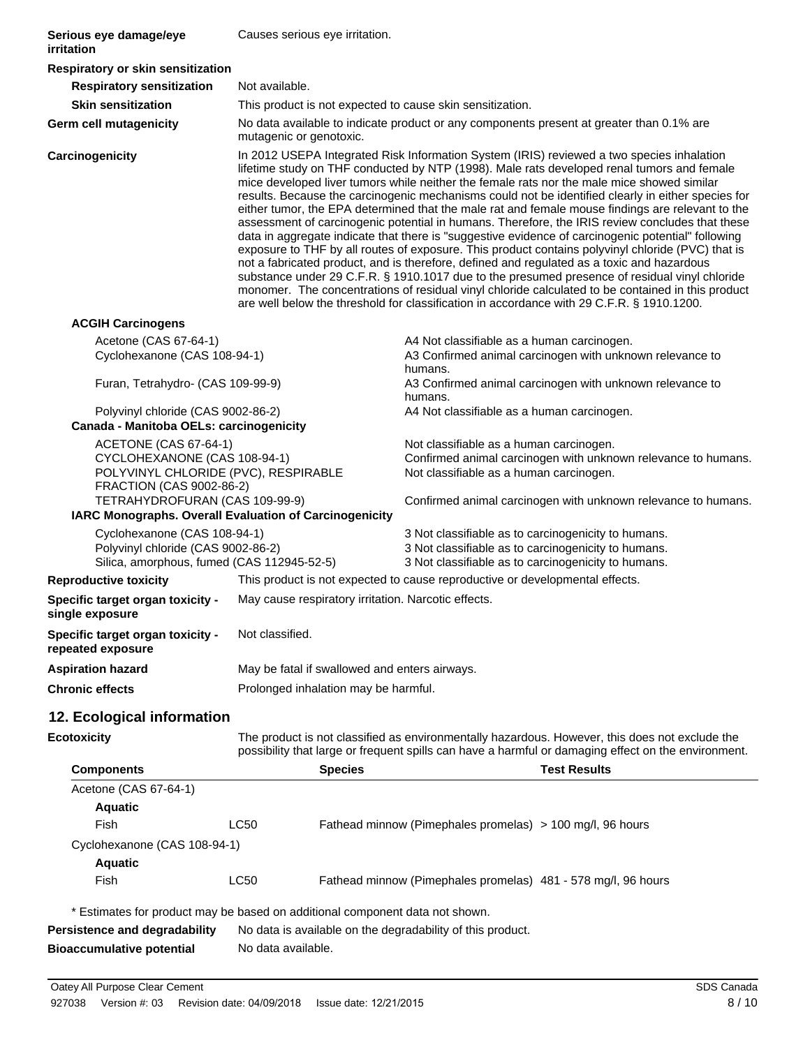| Serious eye damage/eye<br>irritation                                                                                                                                                                                         | Causes serious eye irritation.                                                                                                                                                                                                                                                                                                                                                                                                                                                                                                                                                                                                                                                                                                                                                                                                                                                                                                                                                                                                                                                                                                                                                                                 |                                                                                                                                                                                                                      |  |
|------------------------------------------------------------------------------------------------------------------------------------------------------------------------------------------------------------------------------|----------------------------------------------------------------------------------------------------------------------------------------------------------------------------------------------------------------------------------------------------------------------------------------------------------------------------------------------------------------------------------------------------------------------------------------------------------------------------------------------------------------------------------------------------------------------------------------------------------------------------------------------------------------------------------------------------------------------------------------------------------------------------------------------------------------------------------------------------------------------------------------------------------------------------------------------------------------------------------------------------------------------------------------------------------------------------------------------------------------------------------------------------------------------------------------------------------------|----------------------------------------------------------------------------------------------------------------------------------------------------------------------------------------------------------------------|--|
| Respiratory or skin sensitization                                                                                                                                                                                            |                                                                                                                                                                                                                                                                                                                                                                                                                                                                                                                                                                                                                                                                                                                                                                                                                                                                                                                                                                                                                                                                                                                                                                                                                |                                                                                                                                                                                                                      |  |
| <b>Respiratory sensitization</b>                                                                                                                                                                                             | Not available.                                                                                                                                                                                                                                                                                                                                                                                                                                                                                                                                                                                                                                                                                                                                                                                                                                                                                                                                                                                                                                                                                                                                                                                                 |                                                                                                                                                                                                                      |  |
| <b>Skin sensitization</b>                                                                                                                                                                                                    |                                                                                                                                                                                                                                                                                                                                                                                                                                                                                                                                                                                                                                                                                                                                                                                                                                                                                                                                                                                                                                                                                                                                                                                                                | This product is not expected to cause skin sensitization.                                                                                                                                                            |  |
| <b>Germ cell mutagenicity</b>                                                                                                                                                                                                | No data available to indicate product or any components present at greater than 0.1% are<br>mutagenic or genotoxic.                                                                                                                                                                                                                                                                                                                                                                                                                                                                                                                                                                                                                                                                                                                                                                                                                                                                                                                                                                                                                                                                                            |                                                                                                                                                                                                                      |  |
| Carcinogenicity                                                                                                                                                                                                              | In 2012 USEPA Integrated Risk Information System (IRIS) reviewed a two species inhalation<br>lifetime study on THF conducted by NTP (1998). Male rats developed renal tumors and female<br>mice developed liver tumors while neither the female rats nor the male mice showed similar<br>results. Because the carcinogenic mechanisms could not be identified clearly in either species for<br>either tumor, the EPA determined that the male rat and female mouse findings are relevant to the<br>assessment of carcinogenic potential in humans. Therefore, the IRIS review concludes that these<br>data in aggregate indicate that there is "suggestive evidence of carcinogenic potential" following<br>exposure to THF by all routes of exposure. This product contains polyvinyl chloride (PVC) that is<br>not a fabricated product, and is therefore, defined and regulated as a toxic and hazardous<br>substance under 29 C.F.R. § 1910.1017 due to the presumed presence of residual vinyl chloride<br>monomer. The concentrations of residual vinyl chloride calculated to be contained in this product<br>are well below the threshold for classification in accordance with 29 C.F.R. § 1910.1200. |                                                                                                                                                                                                                      |  |
| <b>ACGIH Carcinogens</b>                                                                                                                                                                                                     |                                                                                                                                                                                                                                                                                                                                                                                                                                                                                                                                                                                                                                                                                                                                                                                                                                                                                                                                                                                                                                                                                                                                                                                                                |                                                                                                                                                                                                                      |  |
| Acetone (CAS 67-64-1)<br>Cyclohexanone (CAS 108-94-1)                                                                                                                                                                        |                                                                                                                                                                                                                                                                                                                                                                                                                                                                                                                                                                                                                                                                                                                                                                                                                                                                                                                                                                                                                                                                                                                                                                                                                | A4 Not classifiable as a human carcinogen.<br>A3 Confirmed animal carcinogen with unknown relevance to<br>humans.                                                                                                    |  |
| Furan, Tetrahydro- (CAS 109-99-9)                                                                                                                                                                                            |                                                                                                                                                                                                                                                                                                                                                                                                                                                                                                                                                                                                                                                                                                                                                                                                                                                                                                                                                                                                                                                                                                                                                                                                                | A3 Confirmed animal carcinogen with unknown relevance to<br>humans.                                                                                                                                                  |  |
| Polyvinyl chloride (CAS 9002-86-2)<br>A4 Not classifiable as a human carcinogen.<br>Canada - Manitoba OELs: carcinogenicity                                                                                                  |                                                                                                                                                                                                                                                                                                                                                                                                                                                                                                                                                                                                                                                                                                                                                                                                                                                                                                                                                                                                                                                                                                                                                                                                                |                                                                                                                                                                                                                      |  |
| ACETONE (CAS 67-64-1)<br>CYCLOHEXANONE (CAS 108-94-1)<br>POLYVINYL CHLORIDE (PVC), RESPIRABLE<br><b>FRACTION (CAS 9002-86-2)</b><br>TETRAHYDROFURAN (CAS 109-99-9)<br>IARC Monographs. Overall Evaluation of Carcinogenicity |                                                                                                                                                                                                                                                                                                                                                                                                                                                                                                                                                                                                                                                                                                                                                                                                                                                                                                                                                                                                                                                                                                                                                                                                                | Not classifiable as a human carcinogen.<br>Confirmed animal carcinogen with unknown relevance to humans.<br>Not classifiable as a human carcinogen.<br>Confirmed animal carcinogen with unknown relevance to humans. |  |
| Cyclohexanone (CAS 108-94-1)<br>Polyvinyl chloride (CAS 9002-86-2)                                                                                                                                                           |                                                                                                                                                                                                                                                                                                                                                                                                                                                                                                                                                                                                                                                                                                                                                                                                                                                                                                                                                                                                                                                                                                                                                                                                                | 3 Not classifiable as to carcinogenicity to humans.<br>3 Not classifiable as to carcinogenicity to humans.<br>3 Not classifiable as to carcinogenicity to humans.                                                    |  |
| Silica, amorphous, fumed (CAS 112945-52-5)<br><b>Reproductive toxicity</b>                                                                                                                                                   |                                                                                                                                                                                                                                                                                                                                                                                                                                                                                                                                                                                                                                                                                                                                                                                                                                                                                                                                                                                                                                                                                                                                                                                                                | This product is not expected to cause reproductive or developmental effects.                                                                                                                                         |  |
|                                                                                                                                                                                                                              |                                                                                                                                                                                                                                                                                                                                                                                                                                                                                                                                                                                                                                                                                                                                                                                                                                                                                                                                                                                                                                                                                                                                                                                                                |                                                                                                                                                                                                                      |  |
| Specific target organ toxicity -<br>single exposure                                                                                                                                                                          | May cause respiratory irritation. Narcotic effects.                                                                                                                                                                                                                                                                                                                                                                                                                                                                                                                                                                                                                                                                                                                                                                                                                                                                                                                                                                                                                                                                                                                                                            |                                                                                                                                                                                                                      |  |
| Specific target organ toxicity -<br>repeated exposure                                                                                                                                                                        | Not classified.                                                                                                                                                                                                                                                                                                                                                                                                                                                                                                                                                                                                                                                                                                                                                                                                                                                                                                                                                                                                                                                                                                                                                                                                |                                                                                                                                                                                                                      |  |
| <b>Aspiration hazard</b>                                                                                                                                                                                                     | May be fatal if swallowed and enters airways.                                                                                                                                                                                                                                                                                                                                                                                                                                                                                                                                                                                                                                                                                                                                                                                                                                                                                                                                                                                                                                                                                                                                                                  |                                                                                                                                                                                                                      |  |
| <b>Chronic effects</b>                                                                                                                                                                                                       | Prolonged inhalation may be harmful.                                                                                                                                                                                                                                                                                                                                                                                                                                                                                                                                                                                                                                                                                                                                                                                                                                                                                                                                                                                                                                                                                                                                                                           |                                                                                                                                                                                                                      |  |
| 12. Ecological information                                                                                                                                                                                                   |                                                                                                                                                                                                                                                                                                                                                                                                                                                                                                                                                                                                                                                                                                                                                                                                                                                                                                                                                                                                                                                                                                                                                                                                                |                                                                                                                                                                                                                      |  |
| <b>Ecotoxicity</b>                                                                                                                                                                                                           |                                                                                                                                                                                                                                                                                                                                                                                                                                                                                                                                                                                                                                                                                                                                                                                                                                                                                                                                                                                                                                                                                                                                                                                                                | The product is not classified as environmentally hazardous. However, this does not exclude the<br>possibility that large or frequent spills can have a harmful or damaging effect on the environment.                |  |
| <b>Components</b>                                                                                                                                                                                                            | <b>Species</b>                                                                                                                                                                                                                                                                                                                                                                                                                                                                                                                                                                                                                                                                                                                                                                                                                                                                                                                                                                                                                                                                                                                                                                                                 | <b>Test Results</b>                                                                                                                                                                                                  |  |
| Acetone (CAS 67-64-1)<br><b>Aquatic</b><br>Fish<br>Cyclohexanone (CAS 108-94-1)                                                                                                                                              | <b>LC50</b>                                                                                                                                                                                                                                                                                                                                                                                                                                                                                                                                                                                                                                                                                                                                                                                                                                                                                                                                                                                                                                                                                                                                                                                                    | Fathead minnow (Pimephales promelas) > 100 mg/l, 96 hours                                                                                                                                                            |  |
| <b>Aquatic</b>                                                                                                                                                                                                               |                                                                                                                                                                                                                                                                                                                                                                                                                                                                                                                                                                                                                                                                                                                                                                                                                                                                                                                                                                                                                                                                                                                                                                                                                |                                                                                                                                                                                                                      |  |
| Fish                                                                                                                                                                                                                         | <b>LC50</b>                                                                                                                                                                                                                                                                                                                                                                                                                                                                                                                                                                                                                                                                                                                                                                                                                                                                                                                                                                                                                                                                                                                                                                                                    | Fathead minnow (Pimephales promelas) 481 - 578 mg/l, 96 hours                                                                                                                                                        |  |
| Persistence and degradability                                                                                                                                                                                                | * Estimates for product may be based on additional component data not shown.<br>No data is available on the degradability of this product.                                                                                                                                                                                                                                                                                                                                                                                                                                                                                                                                                                                                                                                                                                                                                                                                                                                                                                                                                                                                                                                                     |                                                                                                                                                                                                                      |  |

**Bioaccumulative potential** No data available.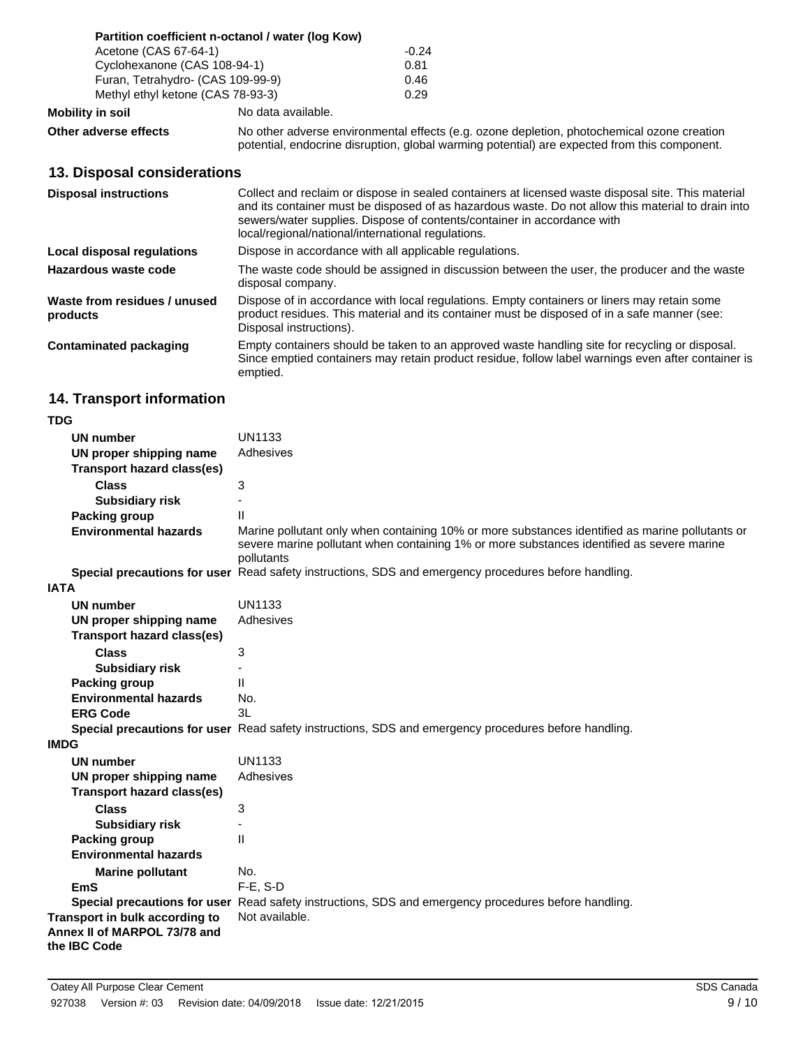|                                   | Partition coefficient n-octanol / water (log Kow) |         |
|-----------------------------------|---------------------------------------------------|---------|
| Acetone (CAS 67-64-1)             |                                                   | $-0.24$ |
| Cyclohexanone (CAS 108-94-1)      |                                                   | 0.81    |
| Furan, Tetrahydro- (CAS 109-99-9) |                                                   | 0.46    |
| Methyl ethyl ketone (CAS 78-93-3) |                                                   | 0.29    |
| <b>Mobility in soil</b>           | No data available.                                |         |

**Other adverse effects** No other adverse environmental effects (e.g. ozone depletion, photochemical ozone creation potential, endocrine disruption, global warming potential) are expected from this component.

### **13. Disposal considerations**

| <b>Disposal instructions</b>             | Collect and reclaim or dispose in sealed containers at licensed waste disposal site. This material<br>and its container must be disposed of as hazardous waste. Do not allow this material to drain into<br>sewers/water supplies. Dispose of contents/container in accordance with<br>local/regional/national/international regulations. |
|------------------------------------------|-------------------------------------------------------------------------------------------------------------------------------------------------------------------------------------------------------------------------------------------------------------------------------------------------------------------------------------------|
| Local disposal regulations               | Dispose in accordance with all applicable regulations.                                                                                                                                                                                                                                                                                    |
| Hazardous waste code                     | The waste code should be assigned in discussion between the user, the producer and the waste<br>disposal company.                                                                                                                                                                                                                         |
| Waste from residues / unused<br>products | Dispose of in accordance with local regulations. Empty containers or liners may retain some<br>product residues. This material and its container must be disposed of in a safe manner (see:<br>Disposal instructions).                                                                                                                    |
| <b>Contaminated packaging</b>            | Empty containers should be taken to an approved waste handling site for recycling or disposal.<br>Since emptied containers may retain product residue, follow label warnings even after container is<br>emptied.                                                                                                                          |

# **14. Transport information**

| <b>TDG</b>                                                                     |                                                                                                                                                                                                            |
|--------------------------------------------------------------------------------|------------------------------------------------------------------------------------------------------------------------------------------------------------------------------------------------------------|
| UN number                                                                      | UN1133                                                                                                                                                                                                     |
| UN proper shipping name                                                        | Adhesives                                                                                                                                                                                                  |
| <b>Transport hazard class(es)</b>                                              |                                                                                                                                                                                                            |
| <b>Class</b>                                                                   | 3                                                                                                                                                                                                          |
| <b>Subsidiary risk</b>                                                         |                                                                                                                                                                                                            |
| Packing group                                                                  | $\mathbf{H}$                                                                                                                                                                                               |
| <b>Environmental hazards</b>                                                   | Marine pollutant only when containing 10% or more substances identified as marine pollutants or<br>severe marine pollutant when containing 1% or more substances identified as severe marine<br>pollutants |
|                                                                                | Special precautions for user Read safety instructions, SDS and emergency procedures before handling.                                                                                                       |
| <b>IATA</b>                                                                    |                                                                                                                                                                                                            |
| <b>UN number</b>                                                               | <b>UN1133</b>                                                                                                                                                                                              |
| UN proper shipping name                                                        | Adhesives                                                                                                                                                                                                  |
| <b>Transport hazard class(es)</b>                                              |                                                                                                                                                                                                            |
| <b>Class</b>                                                                   | 3                                                                                                                                                                                                          |
| <b>Subsidiary risk</b>                                                         |                                                                                                                                                                                                            |
| <b>Packing group</b>                                                           | $\mathbf{H}$                                                                                                                                                                                               |
| <b>Environmental hazards</b>                                                   | No.                                                                                                                                                                                                        |
| <b>ERG Code</b>                                                                | 3L                                                                                                                                                                                                         |
|                                                                                | Special precautions for user Read safety instructions, SDS and emergency procedures before handling.                                                                                                       |
| <b>IMDG</b>                                                                    |                                                                                                                                                                                                            |
| <b>UN number</b>                                                               | <b>UN1133</b>                                                                                                                                                                                              |
| UN proper shipping name                                                        | Adhesives                                                                                                                                                                                                  |
| <b>Transport hazard class(es)</b>                                              |                                                                                                                                                                                                            |
| <b>Class</b>                                                                   | 3                                                                                                                                                                                                          |
| <b>Subsidiary risk</b>                                                         |                                                                                                                                                                                                            |
| <b>Packing group</b>                                                           | $\mathbf{H}$                                                                                                                                                                                               |
| <b>Environmental hazards</b>                                                   |                                                                                                                                                                                                            |
| <b>Marine pollutant</b>                                                        | No.                                                                                                                                                                                                        |
| <b>EmS</b>                                                                     | $F-E$ , S-D                                                                                                                                                                                                |
|                                                                                | Special precautions for user Read safety instructions, SDS and emergency procedures before handling.                                                                                                       |
| Transport in bulk according to<br>Annex II of MARPOL 73/78 and<br>the IBC Code | Not available.                                                                                                                                                                                             |
|                                                                                |                                                                                                                                                                                                            |